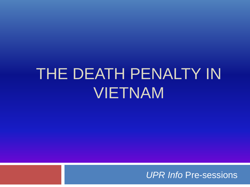# THE DEATH PENALTY IN VIETNAM

*UPR Info* Pre-sessions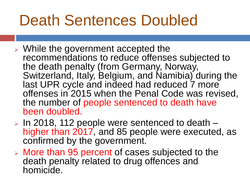## Death Sentences Doubled

- ➢ While the government accepted the recommendations to reduce offenses subjected to the death penalty (from Germany, Norway, Switzerland, Italy, Belgium, and Namibia) during the last UPR cycle and indeed had reduced 7 more offenses in 2015 when the Penal Code was revised, the number of people sentenced to death have been doubled.
- ➢ In 2018, 112 people were sentenced to death higher than 2017, and 85 people were executed, as confirmed by the government.
- ➢ More than 95 percent of cases subjected to the death penalty related to drug offences and homicide.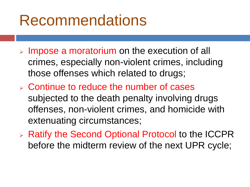#### Recommendations

- ➢ Impose a moratorium on the execution of all crimes, especially non-violent crimes, including those offenses which related to drugs;
- ➢ Continue to reduce the number of cases subjected to the death penalty involving drugs offenses, non-violent crimes, and homicide with extenuating circumstances;
- ➢ Ratify the Second Optional Protocol to the ICCPR before the midterm review of the next UPR cycle;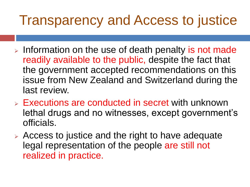#### Transparency and Access to justice

- ➢ Information on the use of death penalty is not made readily available to the public, despite the fact that the government accepted recommendations on this issue from New Zealand and Switzerland during the last review.
- ➢ Executions are conducted in secret with unknown lethal drugs and no witnesses, except government's officials.
- ➢ Access to justice and the right to have adequate legal representation of the people are still not realized in practice.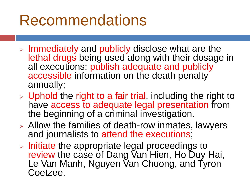### Recommendations

- ➢ Immediately and publicly disclose what are the lethal drugs being used along with their dosage in all executions; publish adequate and publicly accessible information on the death penalty annually;
- $\triangleright$  Uphold the right to a fair trial, including the right to have access to adequate legal presentation from the beginning of a criminal investigation.
- ➢ Allow the families of death-row inmates, lawyers and journalists to attend the executions;
- ➢ Initiate the appropriate legal proceedings to review the case of Dang Van Hien, Ho Duy Hai, Le Van Manh, Nguyen Van Chuong, and Tyron Coetzee.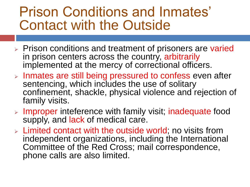#### Prison Conditions and Inmates' Contact with the Outside

- ➢ Prison conditions and treatment of prisoners are varied in prison centers across the country, arbitrarily implemented at the mercy of correctional officers.
- ➢ Inmates are still being pressured to confess even after sentencing, which includes the use of solitary confinement, shackle, physical violence and rejection of family visits.
- ➢ Improper inteference with family visit; inadequate food supply, and lack of medical care.
- ➢ Limited contact with the outside world; no visits from independent organizations, including the International Committee of the Red Cross; mail correspondence, phone calls are also limited.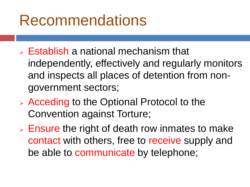#### Recommendations

- $\triangleright$  Establish a national mechanism that independently, effectively and regularly monitors and inspects all places of detention from nongovernment sectors;
- ➢ Acceding to the Optional Protocol to the Convention against Torture;
- $\triangleright$  Ensure the right of death row inmates to make contact with others, free to receive supply and be able to communicate by telephone;